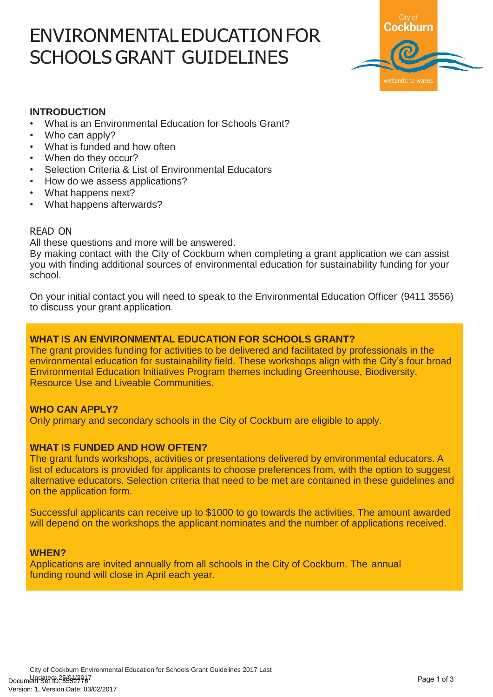# ENVIRONMENTALEDUCATIONFOR SCHOOLS GRANT GUIDELINES



# **INTRODUCTION**

- What is an Environmental Education for Schools Grant?
- Who can apply?
- What is funded and how often
- When do they occur?
- Selection Criteria & List of Environmental Educators
- How do we assess applications?
- What happens next?
- What happens afterwards?

#### READ ON

All these questions and more will be answered.

By making contact with the City of Cockburn when completing a grant application we can assist you with finding additional sources of environmental education for sustainability funding for your school.

On your initial contact you will need to speak to the Environmental Education Officer (9411 3556) to discuss your grant application.

# **WHAT IS AN ENVIRONMENTAL EDUCATION FOR SCHOOLS GRANT?**

The grant provides funding for activities to be delivered and facilitated by professionals in the environmental education for sustainability field. These workshops align with the City's four broad Environmental Education Initiatives Program themes including Greenhouse, Biodiversity, Resource Use and Liveable Communities.

# **WHO CAN APPLY?**

Only primary and secondary schools in the City of Cockburn are eligible to apply.

# **WHAT IS FUNDED AND HOW OFTEN?**

The grant funds workshops, activities or presentations delivered by environmental educators. A list of educators is provided for applicants to choose preferences from, with the option to suggest alternative educators. Selection criteria that need to be met are contained in these guidelines and on the application form.

Successful applicants can receive up to \$1000 to go towards the activities. The amount awarded will depend on the workshops the applicant nominates and the number of applications received.

# **WHEN?**

Applications are invited annually from all schools in the City of Cockburn. The annual funding round will close in April each year.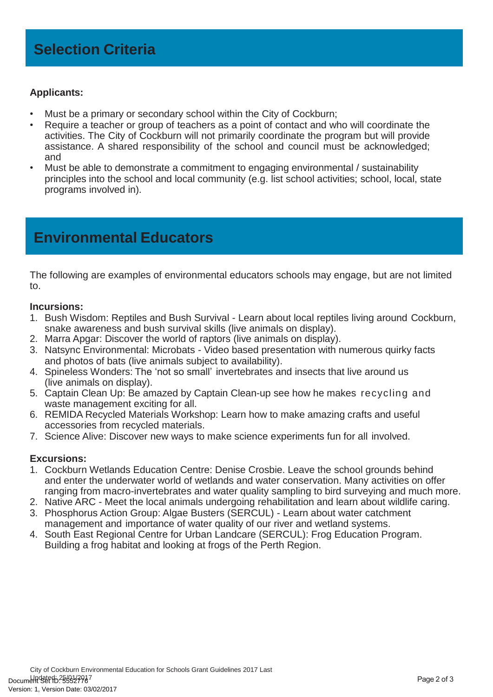# **Applicants:**

- Must be a primary or secondary school within the City of Cockburn;
- Require a teacher or group of teachers as a point of contact and who will coordinate the activities. The City of Cockburn will not primarily coordinate the program but will provide assistance. A shared responsibility of the school and council must be acknowledged; and
- Must be able to demonstrate a commitment to engaging environmental / sustainability principles into the school and local community (e.g. list school activities; school, local, state programs involved in).

# **Environmental Educators**

The following are examples of environmental educators schools may engage, but are not limited to.

#### **Incursions:**

- 1. Bush Wisdom: Reptiles and Bush Survival Learn about local reptiles living around Cockburn, snake awareness and bush survival skills (live animals on display).
- 2. Marra Apgar: Discover the world of raptors (live animals on display).
- 3. Natsync Environmental: Microbats Video based presentation with numerous quirky facts and photos of bats (live animals subject to availability).
- 4. Spineless Wonders: The 'not so small' invertebrates and insects that live around us (live animals on display).
- 5. Captain Clean Up: Be amazed by Captain Clean-up see how he makes recycling and waste management exciting for all.
- 6. REMIDA Recycled Materials Workshop: Learn how to make amazing crafts and useful accessories from recycled materials.
- 7. Science Alive: Discover new ways to make science experiments fun for all involved.

# **Excursions:**

- 1. Cockburn Wetlands Education Centre: Denise Crosbie. Leave the school grounds behind and enter the underwater world of wetlands and water conservation. Many activities on offer ranging from macro-invertebrates and water quality sampling to bird surveying and much more.
- 2. Native ARC Meet the local animals undergoing rehabilitation and learn about wildlife caring.
- 3. Phosphorus Action Group: Algae Busters (SERCUL) Learn about water catchment management and importance of water quality of our river and wetland systems.
- 4. South East Regional Centre for Urban Landcare (SERCUL): Frog Education Program. Building a frog habitat and looking at frogs of the Perth Region.